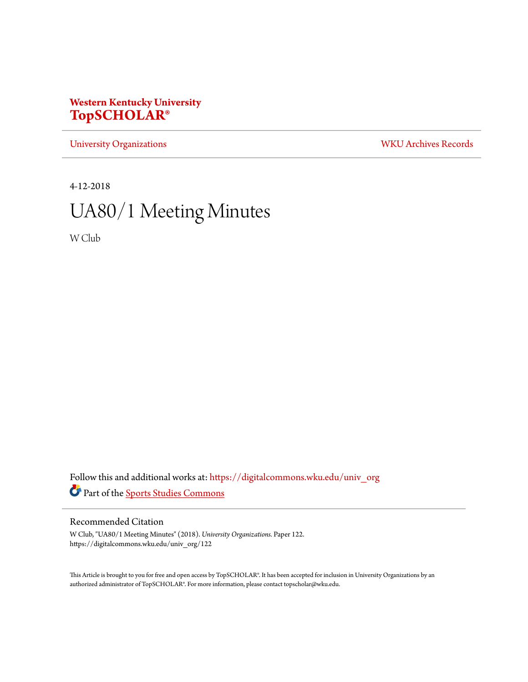## **Western Kentucky University [TopSCHOLAR®](https://digitalcommons.wku.edu?utm_source=digitalcommons.wku.edu%2Funiv_org%2F122&utm_medium=PDF&utm_campaign=PDFCoverPages)**

[University Organizations](https://digitalcommons.wku.edu/univ_org?utm_source=digitalcommons.wku.edu%2Funiv_org%2F122&utm_medium=PDF&utm_campaign=PDFCoverPages) [WKU Archives Records](https://digitalcommons.wku.edu/dlsc_ua_records?utm_source=digitalcommons.wku.edu%2Funiv_org%2F122&utm_medium=PDF&utm_campaign=PDFCoverPages)

4-12-2018

# UA80/1 Meeting Minutes

W Club

Follow this and additional works at: [https://digitalcommons.wku.edu/univ\\_org](https://digitalcommons.wku.edu/univ_org?utm_source=digitalcommons.wku.edu%2Funiv_org%2F122&utm_medium=PDF&utm_campaign=PDFCoverPages) Part of the [Sports Studies Commons](http://network.bepress.com/hgg/discipline/1198?utm_source=digitalcommons.wku.edu%2Funiv_org%2F122&utm_medium=PDF&utm_campaign=PDFCoverPages)

#### Recommended Citation

W Club, "UA80/1 Meeting Minutes" (2018). *University Organizations.* Paper 122. https://digitalcommons.wku.edu/univ\_org/122

This Article is brought to you for free and open access by TopSCHOLAR®. It has been accepted for inclusion in University Organizations by an authorized administrator of TopSCHOLAR®. For more information, please contact topscholar@wku.edu.